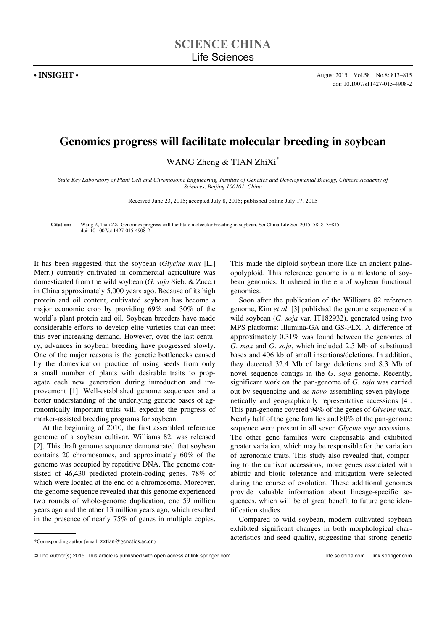## **Genomics progress will facilitate molecular breeding in soybean**

WANG Zheng & TIAN ZhiXi\*

*State Key Laboratory of Plant Cell and Chromosome Engineering, Institute of Genetics and Developmental Biology, Chinese Academy of Sciences, Beijing 100101, China* 

Received June 23, 2015; accepted July 8, 2015; published online July 17, 2015

**Citation:** Wang Z, Tian ZX. Genomics progress will facilitate molecular breeding in soybean. Sci China Life Sci, 2015, 58: 813–815, doi: 10.1007/s11427-015-4908-2

It has been suggested that the soybean (*Glycine max* [L.] Merr.) currently cultivated in commercial agriculture was domesticated from the wild soybean (*G. soja* Sieb. & Zucc.) in China approximately 5,000 years ago. Because of its high protein and oil content, cultivated soybean has become a major economic crop by providing 69% and 30% of the world's plant protein and oil. Soybean breeders have made considerable efforts to develop elite varieties that can meet this ever-increasing demand. However, over the last century, advances in soybean breeding have progressed slowly. One of the major reasons is the genetic bottlenecks caused by the domestication practice of using seeds from only a small number of plants with desirable traits to propagate each new generation during introduction and improvement [1]. Well-established genome sequences and a better understanding of the underlying genetic bases of agronomically important traits will expedite the progress of marker-assisted breeding programs for soybean.

At the beginning of 2010, the first assembled reference genome of a soybean cultivar, Williams 82, was released [2]. This draft genome sequence demonstrated that soybean contains 20 chromosomes, and approximately 60% of the genome was occupied by repetitive DNA. The genome consisted of 46,430 predicted protein-coding genes, 78% of which were located at the end of a chromosome. Moreover, the genome sequence revealed that this genome experienced two rounds of whole-genome duplication, one 59 million years ago and the other 13 million years ago, which resulted in the presence of nearly 75% of genes in multiple copies.

This made the diploid soybean more like an ancient palaeopolyploid. This reference genome is a milestone of soybean genomics. It ushered in the era of soybean functional genomics.

Soon after the publication of the Williams 82 reference genome, Kim *et al*. [3] published the genome sequence of a wild soybean (*G*. *soja* var. IT182932), generated using two MPS platforms: Illumina-GA and GS-FLX. A difference of approximately 0.31% was found between the genomes of *G*. *max* and *G*. *soja*, which included 2.5 Mb of substituted bases and 406 kb of small insertions/deletions. In addition, they detected 32.4 Mb of large deletions and 8.3 Mb of novel sequence contigs in the *G*. *soja* genome. Recently, significant work on the pan-genome of *G*. *soja* was carried out by sequencing and *de novo* assembling seven phylogenetically and geographically representative accessions [4]. This pan-genome covered 94% of the genes of *Glycine max*. Nearly half of the gene families and 80% of the pan-genome sequence were present in all seven *Glycine soja* accessions. The other gene families were dispensable and exhibited greater variation, which may be responsible for the variation of agronomic traits. This study also revealed that, comparing to the cultivar accessions, more genes associated with abiotic and biotic tolerance and mitigation were selected during the course of evolution. These additional genomes provide valuable information about lineage-specific sequences, which will be of great benefit to future gene identification studies.

Compared to wild soybean, modern cultivated soybean exhibited significant changes in both morphological characteristics and seed quality, suggesting that strong genetic

 $\overline{a}$ 

<sup>\*</sup>Corresponding author (email: zxtian@genetics.ac.cn)

<sup>©</sup> The Author(s) 2015. This article is published with open access at link.springer.com life.scichina.com link.springer.com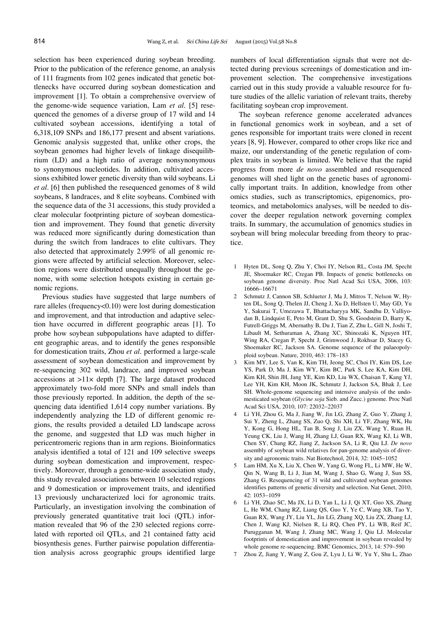selection has been experienced during soybean breeding. Prior to the publication of the reference genome, an analysis of 111 fragments from 102 genes indicated that genetic bottlenecks have occurred during soybean domestication and improvement [1]. To obtain a comprehensive overview of the genome-wide sequence variation, Lam *et al*. [5] resequenced the genomes of a diverse group of 17 wild and 14 cultivated soybean accessions, identifying a total of 6,318,109 SNPs and 186,177 present and absent variations. Genomic analysis suggested that, unlike other crops, the soybean genomes had higher levels of linkage disequilibrium (LD) and a high ratio of average nonsynonymous to synonymous nucleotides. In addition, cultivated accessions exhibited lower genetic diversity than wild soybeans. Li *et al*. [6] then published the resequenced genomes of 8 wild soybeans, 8 landraces, and 8 elite soybeans. Combined with the sequence data of the 31 accessions, this study provided a clear molecular footprinting picture of soybean domestication and improvement. They found that genetic diversity was reduced more significantly during domestication than during the switch from landraces to elite cultivars. They also detected that approximately 2.99% of all genomic regions were affected by artificial selection. Moreover, selection regions were distributed unequally throughout the genome, with some selection hotspots existing in certain genomic regions.

Previous studies have suggested that large numbers of rare alleles (frequency<0.10) were lost during domestication and improvement, and that introduction and adaptive selection have occurred in different geographic areas [1]. To probe how soybean subpopulations have adapted to different geographic areas, and to identify the genes responsible for domestication traits, Zhou *et al*. performed a large-scale assessment of soybean domestication and improvement by re-sequencing 302 wild, landrace, and improved soybean accessions at  $>11\times$  depth [7]. The large dataset produced approximately two-fold more SNPs and small indels than those previously reported. In addition, the depth of the sequencing data identified 1,614 copy number variations. By independently analyzing the LD of different genomic regions, the results provided a detailed LD landscape across the genome, and suggested that LD was much higher in pericentromeric regions than in arm regions. Bioinformatics analysis identified a total of 121 and 109 selective sweeps during soybean domestication and improvement, respectively. Moreover, through a genome-wide association study, this study revealed associations between 10 selected regions and 9 domestication or improvement traits, and identified 13 previously uncharacterized loci for agronomic traits. Particularly, an investigation involving the combination of previously generated quantitative trait loci (QTL) information revealed that 96 of the 230 selected regions correlated with reported oil QTLs, and 21 contained fatty acid biosynthesis genes. Further pairwise population differentiation analysis across geographic groups identified large

numbers of local differentiation signals that were not detected during previous screenings of domestication and improvement selection. The comprehensive investigations carried out in this study provide a valuable resource for future studies of the allelic variation of relevant traits, thereby facilitating soybean crop improvement.

The soybean reference genome accelerated advances in functional genomics work in soybean, and a set of genes responsible for important traits were cloned in recent years [8, 9]. However, compared to other crops like rice and maize, our understanding of the genetic regulation of complex traits in soybean is limited. We believe that the rapid progress from more *de novo* assembled and resequenced genomes will shed light on the genetic bases of agronomically important traits. In addition, knowledge from other omics studies, such as transcriptomics, epigenomics, proteomics, and metabolomics analyses, will be needed to discover the deeper regulation network governing complex traits. In summary, the accumulation of genomics studies in soybean will bring molecular breeding from theory to practice.

- 1 Hyten DL, Song Q, Zhu Y, Choi IY, Nelson RL, Costa JM, Specht JE, Shoemaker RC, Cregan PB. Impacts of genetic bottlenecks on soybean genome diversity. Proc Natl Acad Sci USA, 2006, 103: 16666-16671
- 2 Schmutz J, Cannon SB, Schlueter J, Ma J, Mitros T, Nelson W, Hyten DL, Song Q, Thelen JJ, Cheng J, Xu D, Hellsten U, May GD, Yu Y, Sakurai T, Umezawa T, Bhattacharyya MK, Sandhu D, Valliyodan B, Lindquist E, Peto M, Grant D, Shu S, Goodstein D, Barry K, Futrell-Griggs M, Abernathy B, Du J, Tian Z, Zhu L, Gill N, Joshi T, Libault M, Sethuraman A, Zhang XC, Shinozaki K, Nguyen HT, Wing RA, Cregan P, Specht J, Grimwood J, Rokhsar D, Stacey G, Shoemaker RC, Jackson SA. Genome sequence of the palaeopolyploid soybean. Nature, 2010, 463: 178-183
- 3 Kim MY, Lee S, Van K, Kim TH, Jeong SC, Choi IY, Kim DS, Lee YS, Park D, Ma J, Kim WY, Kim BC, Park S, Lee KA, Kim DH, Kim KH, Shin JH, Jang YE, Kim KD, Liu WX, Chaisan T, Kang YJ, Lee YH, Kim KH, Moon JK, Schmutz J, Jackson SA, Bhak J, Lee SH. Whole-genome sequencing and intensive analysis of the undomesticated soybean (*Glycine soja* Sieb. and Zucc.) genome. Proc Natl Acad Sci USA, 2010, 107: 22032-22037
- 4 Li YH, Zhou G, Ma J, Jiang W, Jin LG, Zhang Z, Guo Y, Zhang J, Sui Y, Zheng L, Zhang SS, Zuo Q, Shi XH, Li YF, Zhang WK, Hu Y, Kong G, Hong HL, Tan B, Song J, Liu ZX, Wang Y, Ruan H, Yeung CK, Liu J, Wang H, Zhang LJ, Guan RX, Wang KJ, Li WB, Chen SY, Chang RZ, Jiang Z, Jackson SA, Li R, Qiu LJ. *De novo*  assembly of soybean wild relatives for pan-genome analysis of diversity and agronomic traits. Nat Biotechnol, 2014, 32: 1045-1052
- 5 Lam HM, Xu X, Liu X, Chen W, Yang G, Wong FL, Li MW, He W, Qin N, Wang B, Li J, Jian M, Wang J, Shao G, Wang J, Sun SS, Zhang G. Resequencing of 31 wild and cultivated soybean genomes identifies patterns of genetic diversity and selection. Nat Genet, 2010, 42: 1053-1059
- 6 Li YH, Zhao SC, Ma JX, Li D, Yan L, Li J, Qi XT, Guo XS, Zhang L, He WM, Chang RZ, Liang QS, Guo Y, Ye C, Wang XB, Tao Y, Guan RX, Wang JY, Liu YL, Jin LG, Zhang XQ, Liu ZX, Zhang LJ, Chen J, Wang KJ, Nielsen R, Li RQ, Chen PY, Li WB, Reif JC, Purugganan M, Wang J, Zhang MC, Wang J, Qiu LJ. Molecular footprints of domestication and improvement in soybean revealed by whole genome re-sequencing. BMC Genomics, 2013, 14: 579–590
- 7 Zhou Z, Jiang Y, Wang Z, Gou Z, Lyu J, Li W, Yu Y, Shu L, Zhao